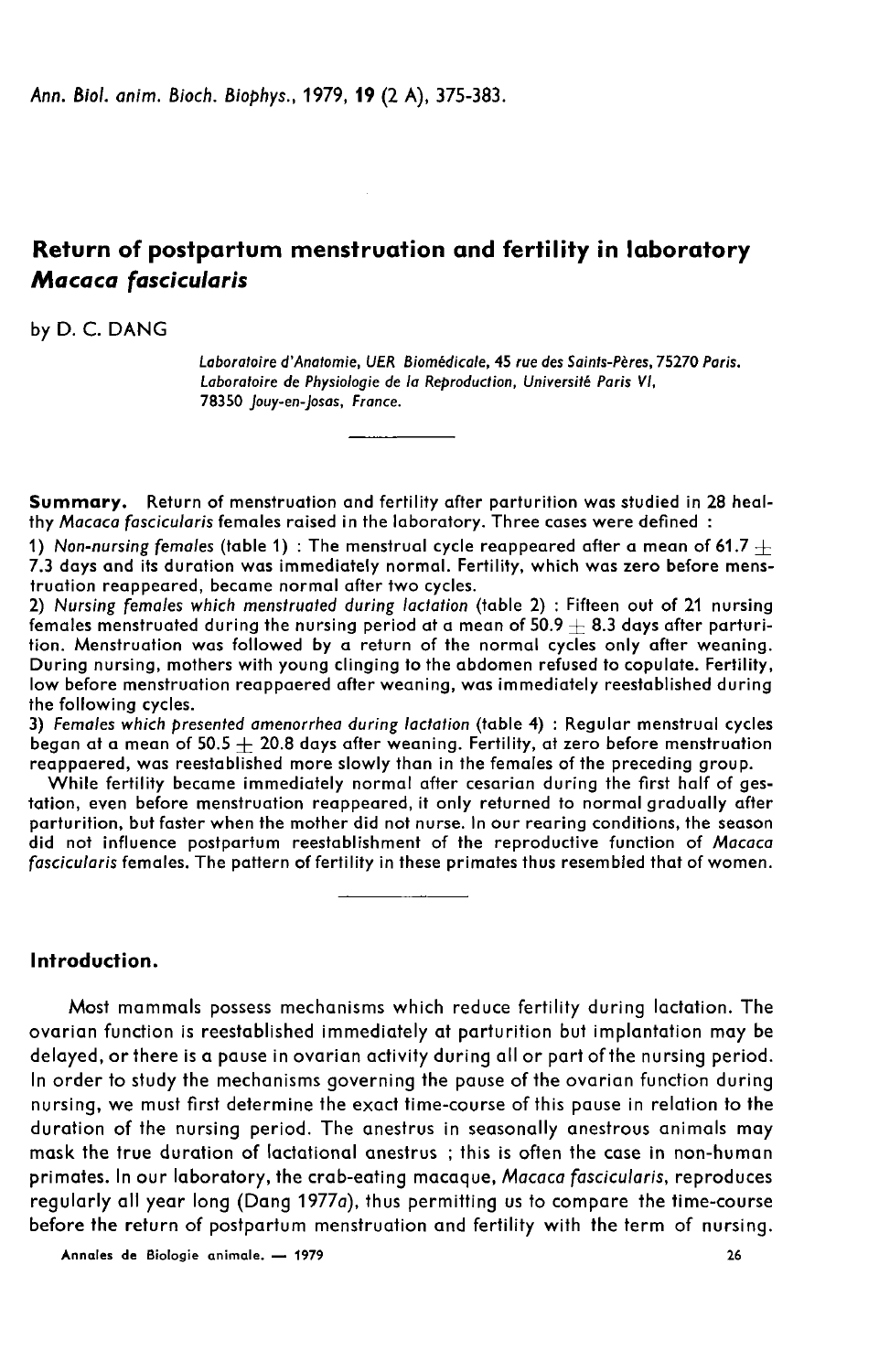# Return of postpartum menstruation and fertility in laboratory Macaca fascicularis

# by D. C. DANG

Laboratoire d'Anatomie, UER Biomédicale, 45 rue des Sainfs-Pères, 75270 Paris. Laboratoire de Physiologie de la Reproduction, Université Paris VI, 78350 Jouy-en-Josas, France.

Summary. Return of menstruation and fertility after parturition was studied in 28 healthy Macaca fascicularis females raised in the laboratory. Three cases were defined :

1) Non-nursing females (table 1) : The menstrual cycle reappeared after a mean of 61.7  $\pm$ 7.3 days and its duration was immediately normal. Fertility, which was zero before menstruation reappeared, became normal after two cycles.

2) Nursing females which menstruated during lactation (table 2) : Fifteen out of 21 nursing females menstruated during the nursing period at a mean of  $50.9 + 8.3$  days after parturition. Menstruation was followed by a return of the normal cycles only after weaning. During nursing, mothers with young clinging to the abdomen refused to copulate. Fertility, low before menstruation reappaered after weaning, was immediately reestablished during the following cycles.

3) Females which presented amenorrhea during lactation (table 4) : Regular menstrual cycles began at a mean of  $50.5 + 20.8$  days after weaning. Fertility, at zero before menstruation reappaered, was reestablished more slowly than in the females of the preceding group.

While fertility became immediately normal after cesarian during the first half of gestation, even before menstruation reappeared, it only returned to normal gradually after parturition, but faster when the mother did not nurse. In our rearing conditions, the season did not influence postpartum reestablishment of the reproductive function of Macaca fascicularis females. The pattern of fertility in these primates thus resembled that of women.

# Introduction.

Most mammals possess mechanisms which reduce fertility during lactation. The ovarian function is reestablished immediately at parturition but implantation may be delayed, or there is a pause in ovarian activity during all or part of the nursing period. In order to study the mechanisms governing the pause of the ovarian function during nursing, we must first determine the exact time-course of this pause in relation to the duration of the nursing period. The anestrus in seasonally anestrous animals may mask the true duration of lactational anestrus ; this is often the case in non-human primates. In our laboratory, the crab-eating macaque, Macaca fascicularis, reproduces regularly all year long (Dang 1977a), thus permitting us to compare the time-course before the return of postpartum menstruation and fertility with the term of nursing.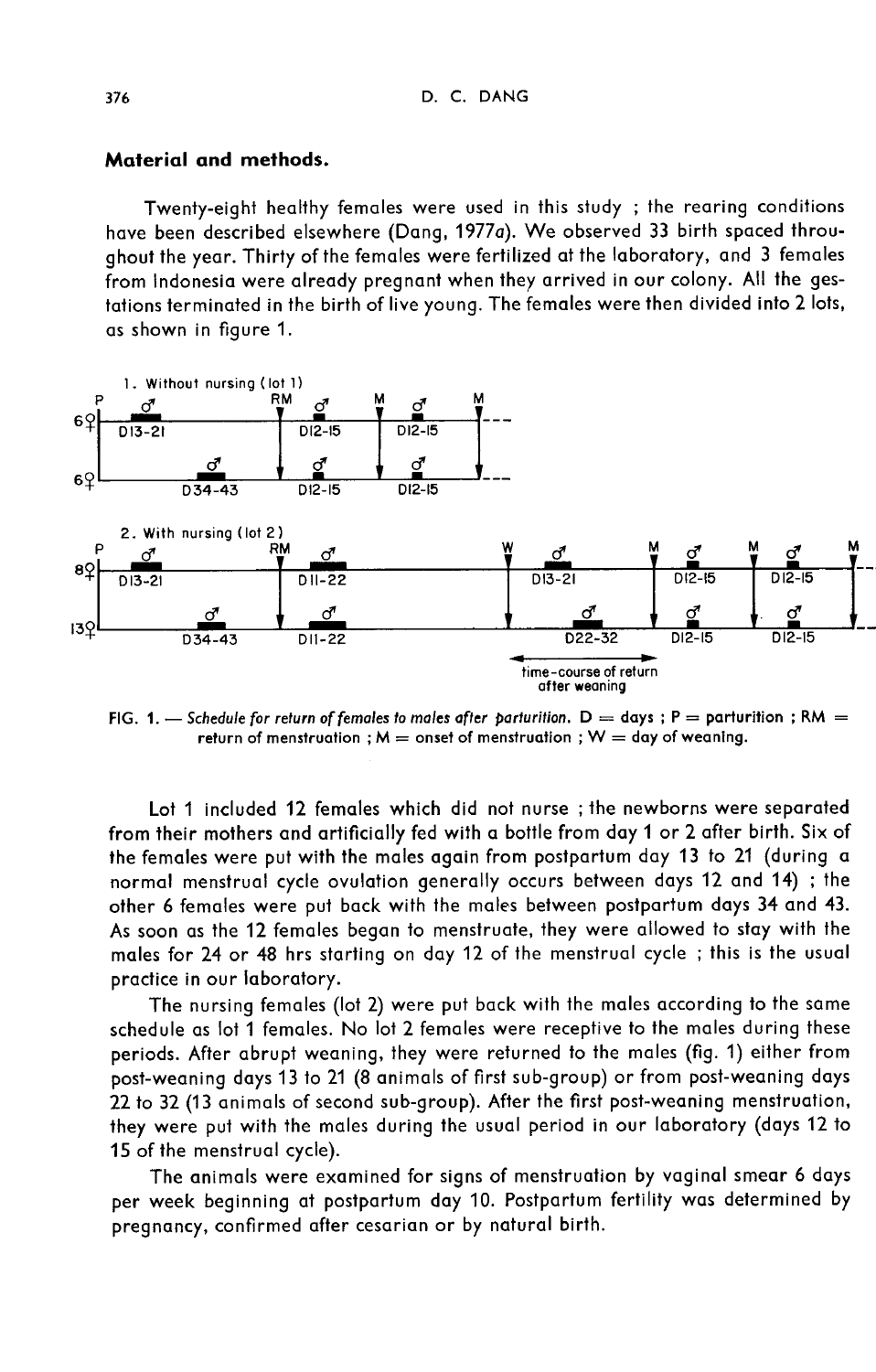## Material and methods.

Twenty-eight healthy females were used in this study ; the rearing conditions have been described elsewhere (Dang, 1977a). We observed 33 birth spaced throughout the year. Thirty of the females were fertilized at the laboratory, and 3 females from Indonesia were already pregnant when they arrived in our colony. All the gestations terminated in the birth of live young. The females were then divided into 2 lots, as shown in figure 1.



FIG. 1. - Schedule for return of females to males after parturition.  $D = days$ ; P = parturition; RM = return of menstruation ;  $M =$  onset of menstruation ;  $W =$  day of weaning.

Lot 1 included 12 females which did not nurse ; the newborns were separated from their mothers and artificially fed with a bottle from day 1 or 2 after birth. Six of the females were put with the males again from postpartum day 13 to 21 (during a normal menstrual cycle ovulation generally occurs between days 12 and 14) ; the other 6 females were put back with the males between postpartum days 34 and 43. As soon as the 12 females began to menstruate, they were allowed to stay with the males for 24 or 48 hrs starting on day 12 of the menstrual cycle ; this is the usual practice in our laboratory.

The nursing females (lot 2) were put back with the males according to the same schedule as lot 1 females. No lot 2 females were receptive to the males during these periods. After abrupt weaning, they were returned to the males (fig. 1) either from post-weaning days 13 to 21 (8 animals of first sub-group) or from post-weaning days 22 to 32 (13 animals of second sub-group). After the first post-weaning menstruation, they were put with the males during the usual period in our laboratory (days 12 to 15 of the menstrual cycle).

The animals were examined for signs of menstruation by vaginal smear 6 days per week beginning at postpartum day 10. Postpartum fertility was determined by pregnancy, confirmed after cesarian or by natural birth.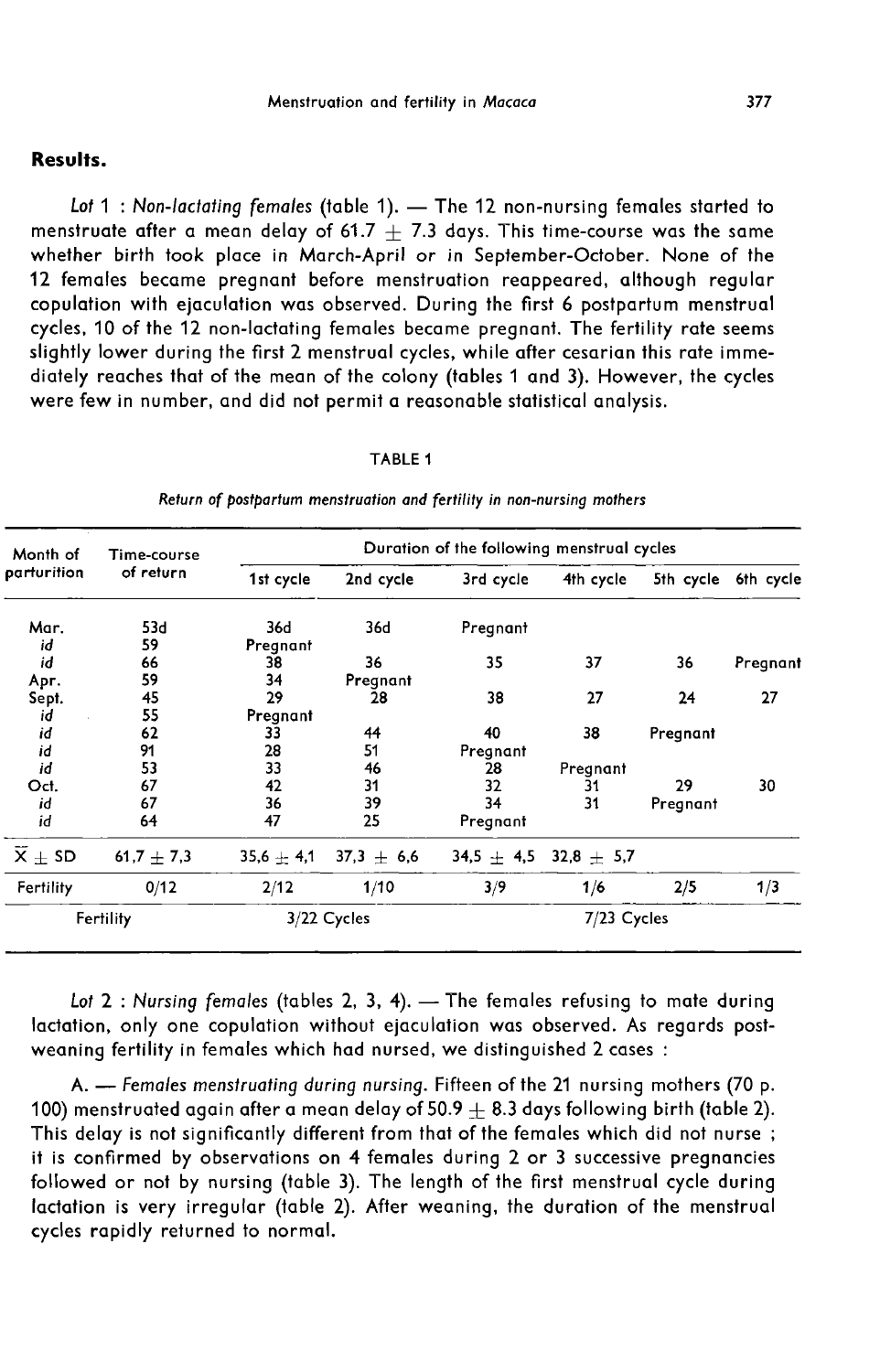# Results.

Lot 1 : Non-lactating females (table 1). - The 12 non-nursing females started to menstruate after a mean delay of 61.7  $+$  7.3 days. This time-course was the same whether birth took place in March-April or in September-October. None of the 12 females became pregnant before menstruation reappeared, although regular copulation with ejaculation was observed. During the first 6 postpartum menstrual cycles, 10 of the 12 non-lactating females became pregnant. The fertility rate seems slightly lower during the first 2 menstrual cycles, while after cesarian this rate immediately reaches that of the mean of the colony (tables 1 and 3). However, the cycles were few in number, and did not permit a reasonable statistical analysis.

#### TABLE 1

| Month of    | Time-course |                 |              | Duration of the following menstrual cycles |              |           |           |  |
|-------------|-------------|-----------------|--------------|--------------------------------------------|--------------|-----------|-----------|--|
| parturition | of return   | 1st cycle       | 2nd cycle    | 3rd cycle                                  | 4th cycle    | 5th cycle | 6th cycle |  |
| Mar.<br>id  | 53d<br>59   | 36d<br>Pregnant | 36d          | Pregnant                                   |              |           |           |  |
| id          | 66          | 38              | 36           | 35                                         | 37           | 36        | Pregnant  |  |
| Apr.        | 59          | 34              | Pregnant     |                                            |              |           |           |  |
| Sept.       | 45          | 29              | 28           | 38                                         | 27           | 24        | 27        |  |
| id          | 55          | Pregnant        |              |                                            |              |           |           |  |
| id          | 62          | 33              | 44           | 40                                         | 38           | Pregnant  |           |  |
| id          | 91          | 28              | 51           | Pregnant                                   |              |           |           |  |
| id          | 53          | 33              | 46           | 28                                         | Pregnant     |           |           |  |
| Oct.        | 67          | 42              | 31           | 32                                         | 31           | 29        | 30        |  |
| id          | 67          | 36              | 39           | 34                                         | 31           | Pregnant  |           |  |
| id          | 64          | 47              | 25           | Pregnant                                   |              |           |           |  |
| $X + SD$    | $61,7+7,3$  | $35,6 + 4,1$    | $37,3 + 6,6$ | $34,5 + 4,5$                               | $32,8 + 5,7$ |           |           |  |
| Fertility   | 0/12        | 2/12            | 1/10         | 3/9                                        | 1/6          | 2/5       | 1/3       |  |
|             | Fertility   | $3/22$ Cycles   |              | 7/23 Cycles                                |              |           |           |  |

Return of postpartum menstruation and fertility in non-nursing mothers

Lot  $2:$  Nursing females (tables 2, 3, 4).  $-$  The females refusing to mate during lactation, only one copulation without ejaculation was observed. As regards postweaning fertility in females which had nursed, we distinguished 2 cases :

A. - Females menstruating during nursing. Fifteen of the 21 nursing mothers (70 p. 100) menstruated again after a mean delay of 50.9  $\pm$  8.3 days following birth (table 2). This delay is not significantly different from that of the females which did not nurse; it is confirmed by observations on 4 females during 2 or 3 successive pregnancies followed or not by nursing (table 3). The length of the first menstrual cycle during lactation is very irregular (table 2). After weaning, the duration of the menstrual cycles rapidly returned to normal.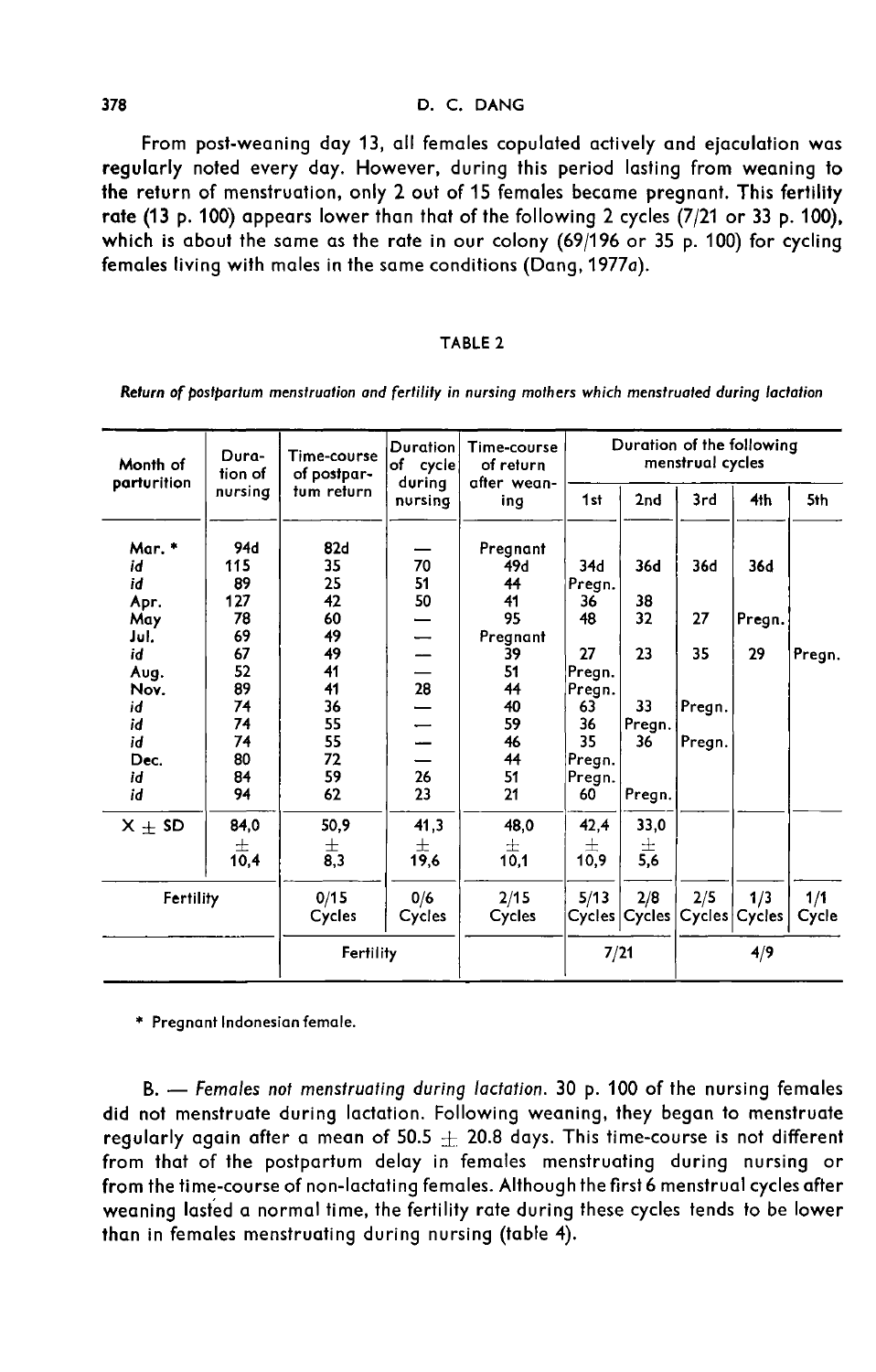#### D. C. DANG

From post-weaning day 13, all females copulated actively and ejaculation was regularly noted every day. However, during this period lasting from weaning to the return of menstruation, only 2 out of 15 females became pregnant. This fertility rate (13 p. 100) appears lower than that of the following 2 cycles (7/21 or 33 p. 100), which is about the same as the rate in our colony (69/196 or 35 p. 100) for cycling females living with males in the same conditions (Dang, 1977a).

#### TABLE<sub>2</sub>

| Month of<br>parturition | Dura-<br>tion of | Time-course<br>of postpar- | <b>Duration</b><br>of cycle<br>during | Time-course<br>of return<br>after wean- |        |               | menstrual cycles | Duration of the following |        |
|-------------------------|------------------|----------------------------|---------------------------------------|-----------------------------------------|--------|---------------|------------------|---------------------------|--------|
|                         | nursing          | tum return                 | nursing                               | ing                                     | 1st    | 2nd           | 3rd              | 4 <sub>th</sub>           | 5th    |
| Mar. *                  | 94d              | 82d                        |                                       | Pregnant                                |        |               |                  |                           |        |
| id                      | 115              | 35                         | 70                                    | 49d                                     | 34d    | 36d           | 36d              | 36d                       |        |
| id                      | 89               | 25                         | 51                                    | 44                                      | Pregn. |               |                  |                           |        |
| Apr.                    | 127              | 42                         | 50                                    | 41                                      | 36     | 38            |                  |                           |        |
| May                     | 78               | 60                         |                                       | 95                                      | 48     | 32            | 27               | Pregn.                    |        |
| Jul.                    | 69               | 49                         | -                                     | Pregnant                                |        |               |                  |                           |        |
| id                      | 67               | 49                         |                                       | 39                                      | 27     | 23            | 35               | 29                        | Pregn. |
| Aug.                    | 52               | 41                         |                                       | 51                                      | Pregn. |               |                  |                           |        |
| Nov.                    | 89               | 41                         | 28                                    | 44                                      | Pregn. |               |                  |                           |        |
| id                      | 74               | 36                         |                                       | 40                                      | 63     | 33            | Pregn.           |                           |        |
| id                      | 74               | 55                         |                                       | 59                                      | 36     | Pregn.        |                  |                           |        |
| id                      | 74               | 55                         |                                       | 46                                      | 35     | 36            | Pregn.           |                           |        |
| Dec.                    | 80               | 72                         |                                       | 44                                      | Pregn. |               |                  |                           |        |
| id                      | 84               | 59                         | 26                                    | 51                                      | Pregn. |               |                  |                           |        |
| id                      | 94               | 62                         | 23                                    | 21                                      | 60     | Pregn.        |                  |                           |        |
| $X + SD$                | 84,0             | 50,9                       | 41,3                                  | 48,0                                    | 42,4   | 33,0          |                  |                           |        |
|                         | 士                | 士                          | 士                                     | 士                                       | 士      | 士             |                  |                           |        |
|                         | 10,4             | 8,3                        | 19,6                                  | 10.1                                    | 10,9   | 5,6           |                  |                           |        |
| Fertility               |                  | 0/15                       | 0/6                                   | 2/15                                    | 5/13   | 2/8           | 2/5              | 1/3                       | 1/1    |
|                         |                  | Cycles                     | Cycles                                | Cycles                                  |        | Cycles Cycles | Cycles           | Cycles                    | Cycle  |
|                         |                  | Fertility                  |                                       |                                         | 7/21   |               |                  | 4/9                       |        |

Return of bostbartum menstruation and fertility in nursing mothers which menstruated during lactation

\* Pregnant Indonesian female.

B. - Females not menstruating during lactation. 30 p. 100 of the nursing females did not menstruate during lactation. Following weaning, they began to menstruate regularly again after a mean of  $50.5 + 20.8$  days. This time-course is not different from that of the postpartum delay in females menstruating during nursing or from the time-course of non-lactating females. Although the first 6 menstrual cycles after weaning lasted a normal time, the fertility rate during these cycles tends to be lower than in females menstruating during nursing (table 4).

378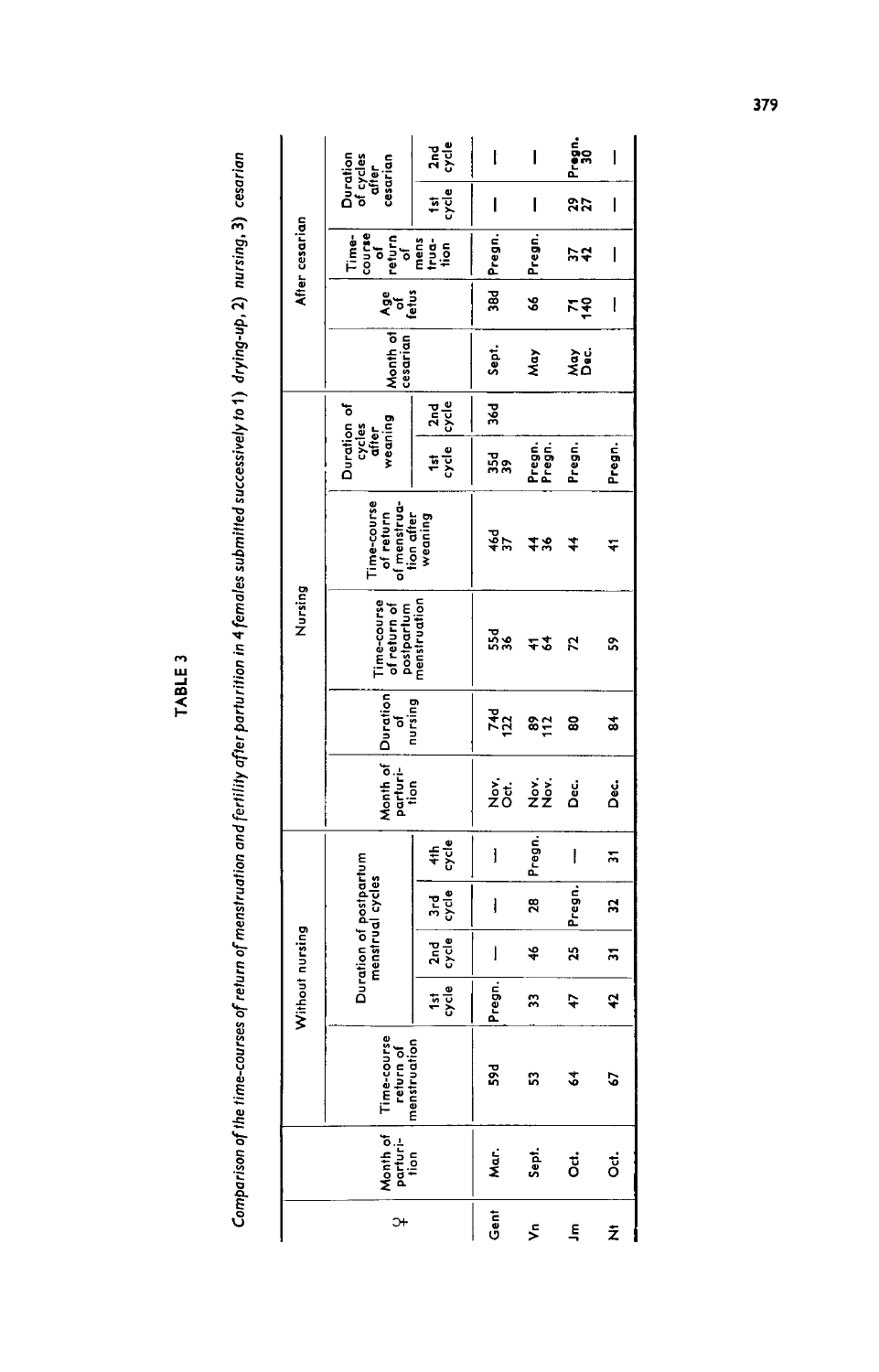Comparison of the time-courses of return of menstruation and fertility after parturition in 4 females submitted successively to 1) drying-up, 2) nursing, 3) cesarian

TABLE 3

|                     |                                  |                                            | Without nursing |                   |                                            |                          |                                                  |     | Nursing                                                   |                                                        |                                           |                       |          |                           | After cesarian                                                                                                                                                                                                                                                                                                                                                                                                                                                                                                                     |                                            |              |
|---------------------|----------------------------------|--------------------------------------------|-----------------|-------------------|--------------------------------------------|--------------------------|--------------------------------------------------|-----|-----------------------------------------------------------|--------------------------------------------------------|-------------------------------------------|-----------------------|----------|---------------------------|------------------------------------------------------------------------------------------------------------------------------------------------------------------------------------------------------------------------------------------------------------------------------------------------------------------------------------------------------------------------------------------------------------------------------------------------------------------------------------------------------------------------------------|--------------------------------------------|--------------|
| $\ddot{\mathbf{r}}$ | Month of<br>  Parturi-<br>  tion | Time-course<br>Preturn of<br>Imenstruation |                 |                   | Duration of postpartum<br>menstrual cycles |                          | Month of Duration<br>parturi- of<br>tion nursing |     | Time-course<br>of return of<br>postpartum<br>menstruation | Time-course<br>of return<br>of menstrua-<br>tion after | Duration of<br>weaning<br>cycles<br>after |                       | Month of | ភ្នំ <sup>5</sup><br>ខែមី | $\begin{array}{cc}\n\textbf{Time} & \textbf{other} \\ \textbf{course} & \textbf{off} \\ \textbf{return} & \textbf{off} \\ \textbf{return} & \textbf{off} \\ \textbf{mean} & \textbf{off} \\ \textbf{mean} & \textbf{off} \\ \textbf{from} & \textbf{off} \\ \textbf{from} & \textbf{off} \\ \textbf{from} & \textbf{off} \\ \textbf{from} & \textbf{off} \\ \textbf{from} & \textbf{off} \\ \textbf{from} & \textbf{off} \\ \textbf{from} & \textbf{off} \\ \textbf{from} & \textbf{off} \\ \textbf{from} & \textbf{off} \\ \text$ | Duration<br>of cycles<br>after<br>cesarian |              |
|                     |                                  |                                            | $rac{1}{2}$     | 2 <sub>nd</sub> e | 공공                                         | $rac{4}{5}$              |                                                  |     |                                                           | weaning                                                | $rac{151}{556}$                           | $rac{2\pi d}{\sigma}$ |          |                           |                                                                                                                                                                                                                                                                                                                                                                                                                                                                                                                                    | $\frac{1}{2}$                              | $rac{1}{2}$  |
| Gent                | Mar.                             | 59d                                        | Pregn.          | I                 | l                                          | l                        | နဲ့ ပုံ<br>Z ပိ                                  | 744 | ដឹង                                                       | $rac{46}{37}$                                          | ដឹង                                       | ě                     | Sept.    | 38d                       | Pregn.                                                                                                                                                                                                                                                                                                                                                                                                                                                                                                                             | I                                          | ľ            |
| ⋚                   | Sept.                            | S.                                         | S,              | 46                | 28                                         | Pregn.                   | sis<br>22                                        | 8은  | 72                                                        | 78                                                     | Pregn.<br>Pregn.                          |                       | Μaγ      | \$                        | Pregn.                                                                                                                                                                                                                                                                                                                                                                                                                                                                                                                             | I                                          | I            |
| $\tilde{\vec{r}}$   | ö                                | \$                                         | 47              | 25                | Pregn.                                     | $\overline{\phantom{a}}$ | ខំ                                               | ຘ   | 52                                                        | 7                                                      | Pregn.                                    |                       | نو<br>گا | 주주                        | 54                                                                                                                                                                                                                                                                                                                                                                                                                                                                                                                                 | 27                                         | Pregn.<br>30 |
| ż                   | ö                                | 5                                          | ą               | 뉴                 | ដ                                          | 뉴                        | ្តុ<br>កំ                                        | ಹೆ  | S,                                                        | ᢎ                                                      | Pregn.                                    |                       |          | l                         | I                                                                                                                                                                                                                                                                                                                                                                                                                                                                                                                                  | I                                          | I            |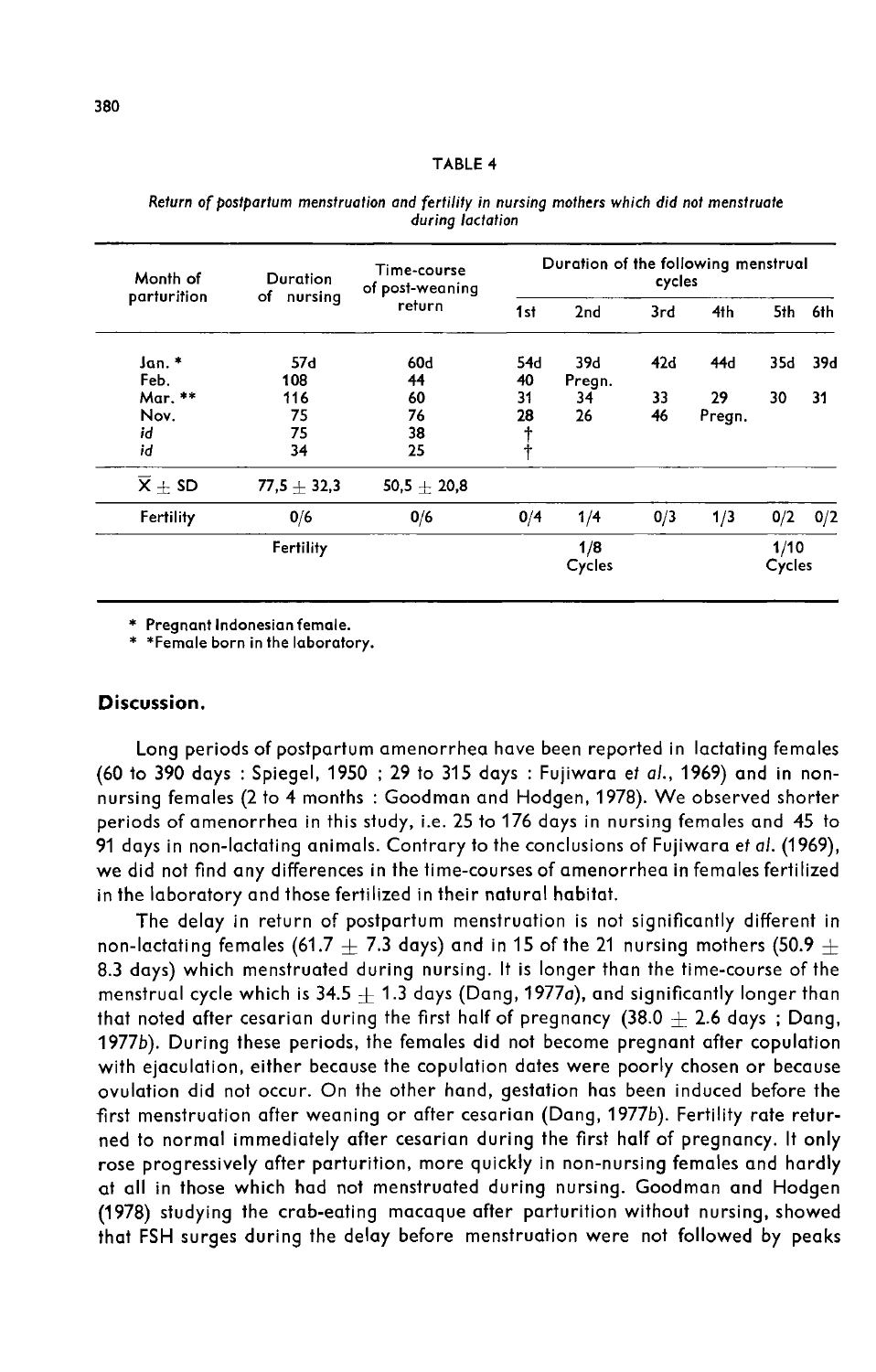#### Duration of the following menstrual Time-course Month of Duration cycles of post-weaning parturition of nursing return 1st  $2nd$  $3rd$ 4th 5th 6th Jan. \*  $57d$ 60d 54d 39d  $42d$ 44d 35d 39d Feb. 108 44 40 Prean. Mar. \*\* 29 116 60 31  $34$ 33 30 31 Nov. 75 76 28 26 46 Pregn. id 75 38  $\ddagger$ id 34 25  $\overline{\mathsf{x}}$   $\pm$  SD  $77,5+32,3$  $50,5 \pm 20,8$ Fertility  $0/6$  $0/6$  $0/4$  $1/4$  $1/3$  $0/2$  $O/2$  $0/3$  $1/8$  $1/10$ Fertility Cycles Cycles

Return of postpartum menstruation and fertility in nursing mothers which did not menstruate durina lactation

\* Pregnant Indonesian female.

\* \*Female born in the laboratory.

# Discussion.

Long periods of postpartum amenorrhea have been reported in lactating females (60 to 390 days : Spiegel, 1950 ; 29 to 315 days : Fujiwara et al., 1969) and in nonnursing females (2 to 4 months : Goodman and Hodgen, 1978). We observed shorter periods of amenorrhea in this study, i.e. 25 to 176 days in nursing females and 45 to 91 days in non-lactating animals. Contrary to the conclusions of Fujiwara et al. (1969), we did not find any differences in the time-courses of amenorrhea in females fertilized in the laboratory and those fertilized in their natural habitat.

The delay in return of postpartum menstruation is not significantly different in non-lactating females (61.7  $+$  7.3 days) and in 15 of the 21 nursing mothers (50.9  $+$ 8.3 days) which menstruated during nursing. It is longer than the time-course of the menstrual cycle which is  $34.5 + 1.3$  days (Dang, 1977a), and significantly longer than that noted after cesarian during the first half of pregnancy  $(38.0 + 2.6$  days; Dang, 1977b). During these periods, the females did not become pregnant after copulation with ejaculation, either because the copulation dates were poorly chosen or because ovulation did not occur. On the other hand, gestation has been induced before the first menstruation after weaning or after cesarian (Dang, 1977b). Fertility rate returned to normal immediately after cesarian during the first half of pregnancy. It only rose progressively after parturition, more quickly in non-nursing females and hardly at all in those which had not menstruated during nursing. Goodman and Hodgen (1978) studying the crab-eating macaque after parturition without nursing, showed that FSH surges during the delay before menstruation were not followed by peaks

### TABLE 4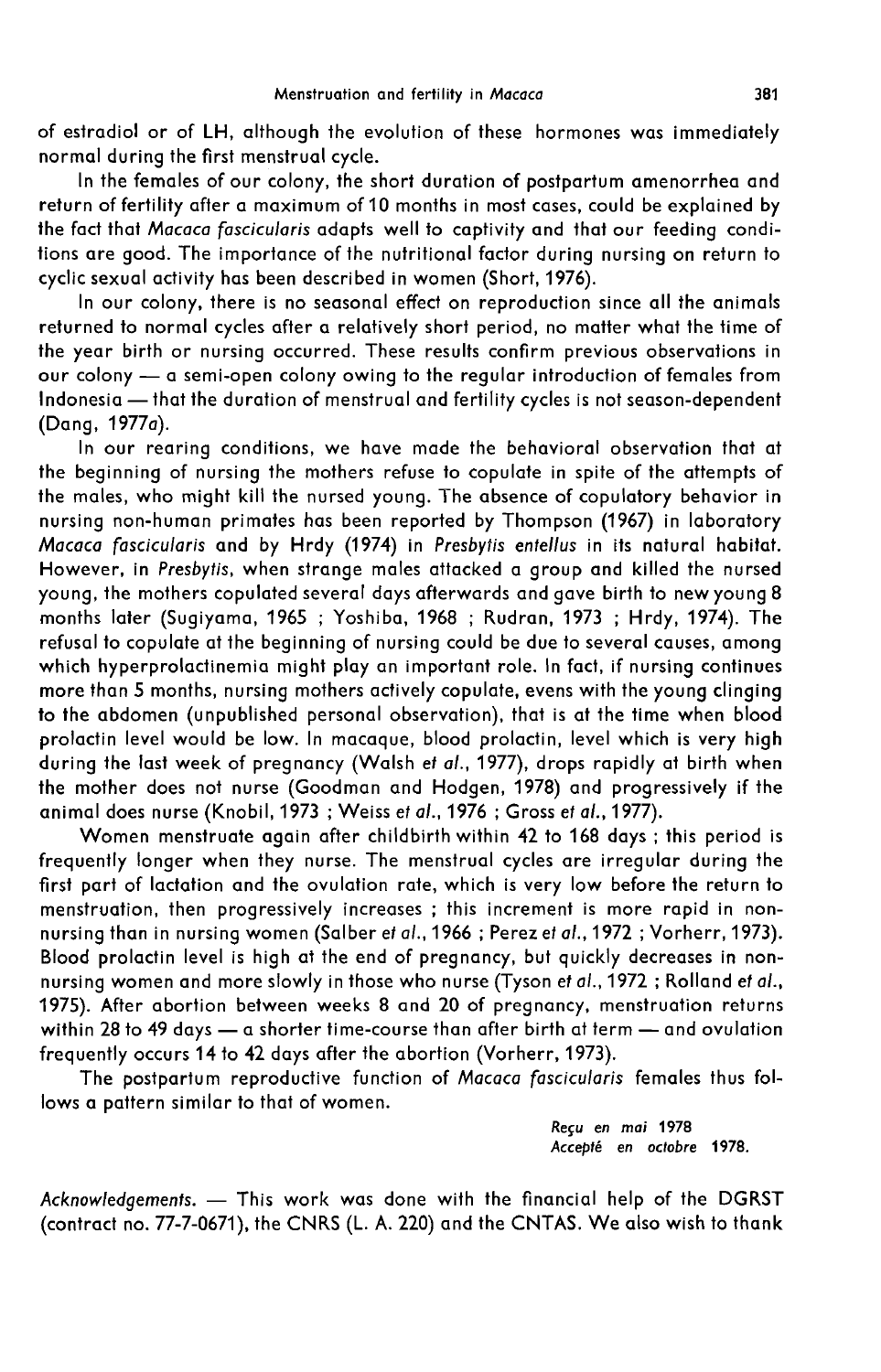of estradiol or of LH, although the evolution of these hormones was immediately normal during the first menstrual cycle.

In the females of our colony, the short duration of postpartum amenorrhea and return of fertility after a maximum of 10 months in most cases, could be explained by the fact that Macaca fascicularis adapts well to captivity and that our feeding conditions are good. The importance of the nutritional factor during nursing on return to cyclic sexual activity has been described in women (Short, 1976).

In our colony, there is no seasonal effect on reproduction since all the animals returned to normal cycles after a relatively short period, no matter what the time of the year birth or nursing occurred. These results confirm previous observations in Ine year birm of hursing occurred. These results commit previous observations in<br>our colony — a semi-open colony owing to the regular introduction of females from Indonesia - that the duration of menstrual and fertility cycles is not season-dependent (Dang, 1977a).

In our rearing conditions, we have made the behavioral observation that at the beginning of nursing the mothers refuse to copulate in spite of the attempts of the males, who might kill the nursed young. The absence of copulatory behavior in nursing non-human primates has been reported by Thompson (1967) in laboratory Macaca fascicularis and by Hrdy (1974) in Presbytis entellus in its natural habitat. However, in Presbytis, when strange males attacked a group and killed the nursed young, the mothers copulated several days afterwards and gave birth to new young 8 months later (Sugiyama, 1965 ; Yoshiba, 1968 ; Rudran, 1973 ; Hrdy, 1974). The refusal to copulate at the beginning of nursing could be due to several causes, among which hyperprolactinemia might play an important role. In fact, if nursing continues more than 5 months, nursing mothers actively copulate, evens with the young clinging to the abdomen (unpublished personal observation), that is at the time when blood prolactin level would be low. In macaque, blood prolactin, level which is very high during the last week of pregnancy (Walsh et al., 1977), drops rapidly at birth when the mother does not nurse (Goodman and Hodgen, 1978) and progressively if the animal does nurse (Knobil, 1973 ; Weiss et al., 1976 ; Gross et al., 1977).

Women menstruate again after childbirth within 42 to 168 days ; this period is frequently longer when they nurse. The menstrual cycles are irregular during the first part of lactation and the ovulation rate, which is very low before the return to menstruation, then progressively increases ; this increment is more rapid in nonnursing than in nursing women (Salber *et al*., 1966 ; Perez *et al.*, 1972 ; Vorherr, 1973). Blood prolactin level is high at the end of pregnancy, but quickly decreases in nonnursing women and more slowly in those who nurse (Tyson et al., 1972 ; Rolland et al., 1975). After abortion between weeks 8 and 20 of pregnancy, menstruation returns within 28 to 49 days - a shorter time-course than after birth at term - and ovulation frequently occurs 14 to 42 days after the abortion (Vorherr, 1973).

The postpartum reproductive function of Macaca fascicularis females thus follows a pattern similar to that of women.

> Reçu en mai 1978 Accept6 en octobre 1978.

Acknowledgements.  $-$  This work was done with the financial help of the DGRST (contract no. 77-7-0671), the CNRS (L. A. 220) and the CNTAS. We also wish to thank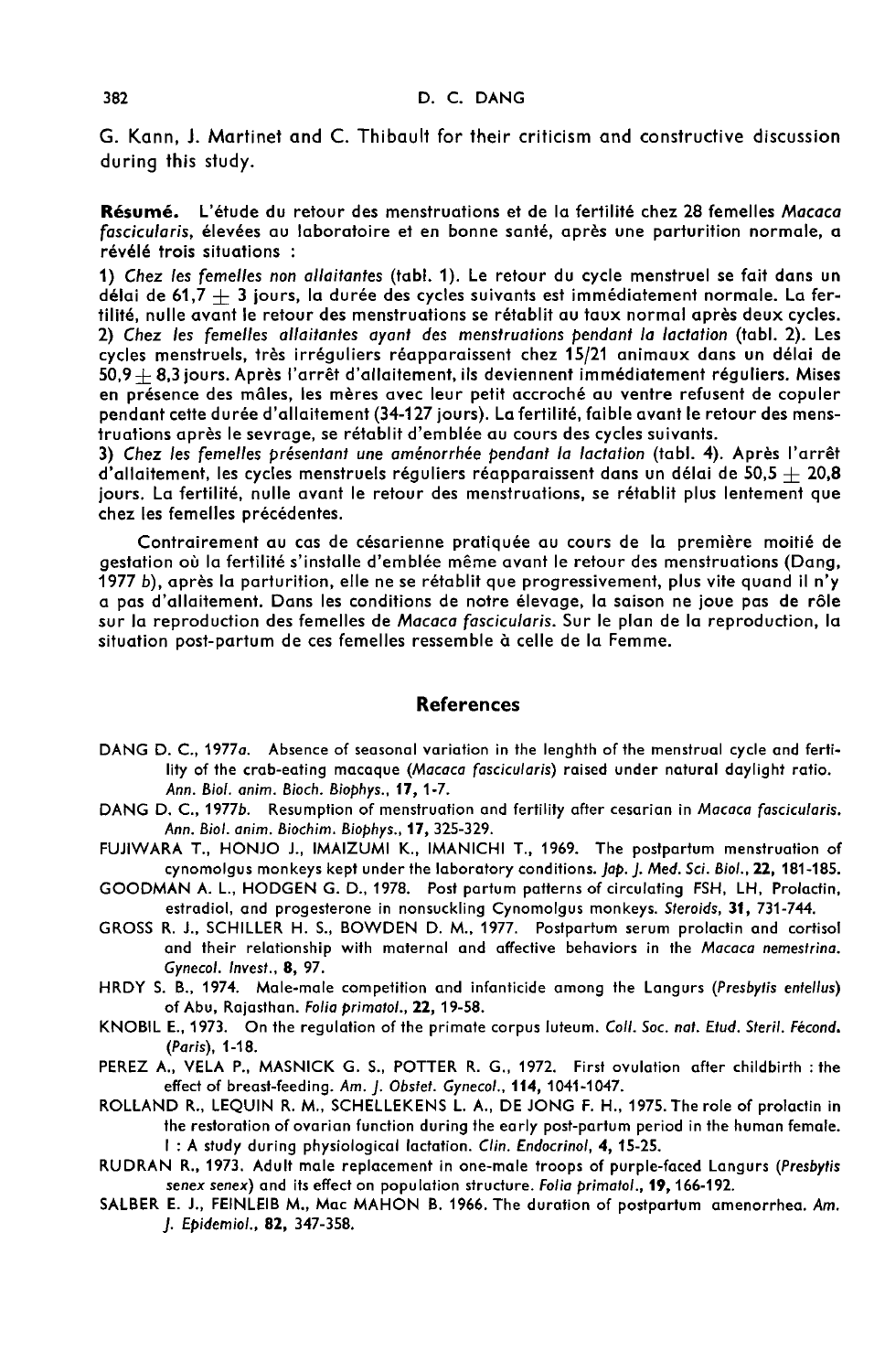G. Kann, J. Martinet and C. Thibault for their criticism and constructive discussion during this study.

Résumé. L'étude du retour des menstruations et de la fertilité chez 28 femelles Macaca fascicularis, élevées au laboratoire et en bonne santé, après une parturition normale, a révélé trois situations :

1) Chez les femelles non allaitantes (tabl. 1). Le retour du cycle menstruel se fait dans un délai de 61,7  $+$  3 jours, la durée des cycles suivants est immédiatement normale. La fertilité, nulle avant le retour des menstruations se rétablit au taux normal après deux cycles. 2) Chez les femelles allaitantes ayant des menstruations pendant la lactation (tabl. 2). Les cycles menstruels, très irréguliers réapparaissent chez 15/21 animaux dans un délai de  $50.9+8.3$  jours. Après l'arrêt d'allaitement, ils deviennent immédiatement réguliers. Mises en présence des mâles, les mères avec leur petit accroché au ventre refusent de copuler pendant cette durée d'allaitement (34-127 jours). La fertilité, faible avant le retour des menstruations après le sevrage, se rétablit d'emblée au cours des cycles suivants.

3) Chez les femelles présentant une aménorrhée pendant la lactation (tabl. 4). Après l'arrêt d'allaitement, les cycles menstruels réguliers réapparaissent dans un délai de 50,5  $+$  20,8 jours. La fertilité, nulle avant le retour des menstruations, se rétablit plus lentement que chez les femelles précédentes.

Contrairement au cas de césarienne pratiquée au cours de la première moitié de gestation où la fertilité s'installe d'emblée même avant le retour des menstruations (Dang,<br>1977 b), après la parturition, elle ne se rétablit que progressivement, plus vite quand il n'y a pas d'allaitement. Dans les conditions de notre élevage, la saison ne joue pas de rôle sur la reproduction des femelles de Macaca fascicularis. Sur le plan de la reproduction, la situation post-partum de ces femelles ressemble à celle de la Femme.

#### References

- DANG D. C., 1977a. Absence of seasonal variation in the lenghth of the menstrual cycle and fertility of the crab-eating macaque (Macaca fascicularis) raised under natural daylight ratio.<br>Ann. Biol. anim. Bioch. Biophys., 17, 1-7.
- DANG D. C., 1977b. Resumption of menstruation and fertility after cesarian in Macaca fascicularis. Ann. Biol. anim. Biochim. Biophys., 17, 325-329.
- FUJIWARA T., HONJO J., IMAIZUMI K., IMANICHI T., 1969. The postpartum menstruation of<br>cynomolgus monkeys kept under the laboratory conditions. *Jap. J. Med. Sci. Biol.*, 22, 181-185.
- GOODMAN A. L., HODGEN G. D., 1978. Post partum patterns of circulating FSH, LH, Prolactin, estradiol, and progesterone in nonsuckling Cynomolgus monkeys. Steroids, 31, 731-744.
- GROSS R. J., SCHILLER H. S., BOWDEN D. M., 1977. Postpartum serum prolactin and cortisol and their relationship with maternal and affective behaviors in the Macaca nemestrina. Gynecol. Invest., 8, 97.
- HRDY S. B., 1974. Male-male competition and infanticide among the Langurs (Presbytis entellus) of Abu, Rajasthan. Folia primatol., 22, 19-58.
- KNOBIL E., 1973. On the regulation of the primate corpus luteum. Coll. Soc. nat. Etud. Steril. Fécond. (Paris), 1-18.
- PEREZ A., VELA P., MASNICK G. S., POTTER R. G., 1972. First ovulation after childbirth : the effect of breast-feeding. Am. J. Obstet. Gynecol., 114, 1041-1047.
- ROLLAND R., LEQUIN R. M., SCHELLEKENS L. A., DE JONG F. H., 1975. The role of prolactin in the restoration of ovarian function during the early post-partum period in the human female. I : A study during physiological lactation. Clin. Endocrinol, 4, 15-25.
- RUDRAN R., 1973. Adult male replacement in one-male troops of purple-faced Langurs (Presbytis senex senex) and its effect on population structure. Folia primatol., 19, 166-192.
- SALBER E. J., FEINLEIB M., Mac MAHON B. 1966. The duration of postpartum amenorrhea. Am. J. Epidemiol., 82, 347-358.